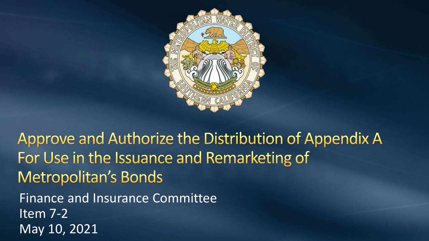

Approve and Authorize the Distribution of Appendix A For Use in the Issuance and Remarketing of **Metropolitan's Bonds** Finance and Insurance Committee Item 7-2 May 10, 2021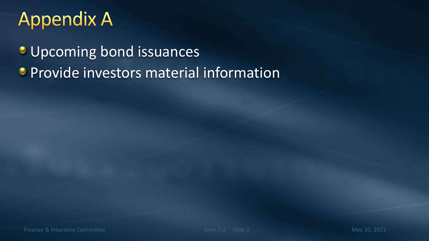# **Appendix A**

**Upcoming bond issuances • Provide investors material information**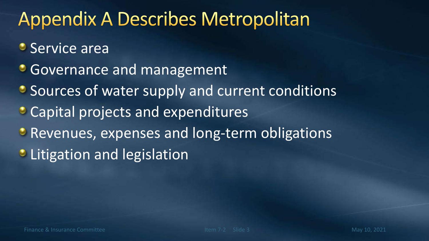# **Appendix A Describes Metropolitan**

- **Service area**
- **Governance and management**
- **Sources of water supply and current conditions**
- Capital projects and expenditures
- **Revenues, expenses and long-term obligations**
- **C** Litigation and legislation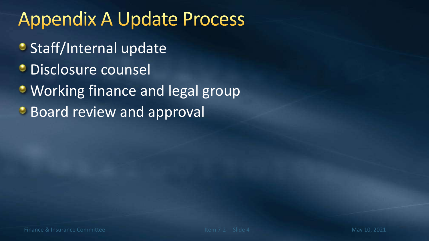# **Appendix A Update Process**

- **Staff/Internal update**
- *C* Disclosure counsel
- Working finance and legal group
- **Board review and approval**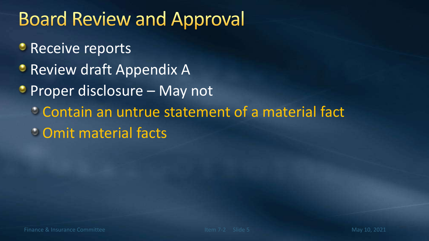# **Board Review and Approval**

- **Receive reports**
- **Review draft Appendix A**
- Proper disclosure May not
	- Contain an untrue statement of a material fact
	- Omit material facts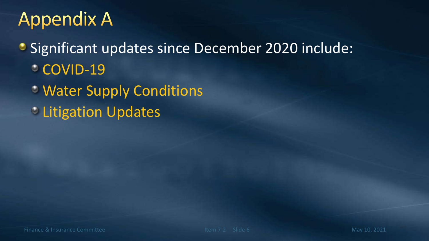# **Appendix A**

• Significant updates since December 2020 include: **COVID-19** 

- Water Supply Conditions
- *C* Litigation Updates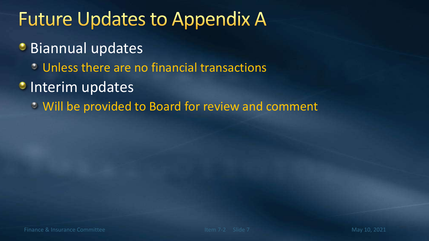### **Future Updates to Appendix A**

- **Biannual updates** 
	- Unless there are no financial transactions
- **Interim updates** 
	- Will be provided to Board for review and comment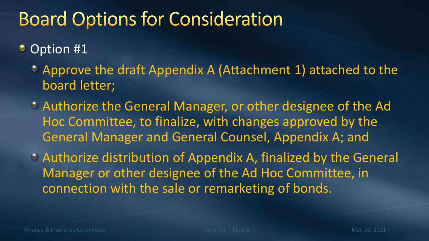# **Board Options for Consideration**

#### $\bullet$ Option #1

- Approve the draft Appendix A (Attachment 1) attached to the board letter;
- Authorize the General Manager, or other designee of the Ad Hoc Committee, to finalize, with changes approved by the General Manager and General Counsel, Appendix A; and
- Authorize distribution of Appendix A, finalized by the General Manager or other designee of the Ad Hoc Committee, in connection with the sale or remarketing of bonds.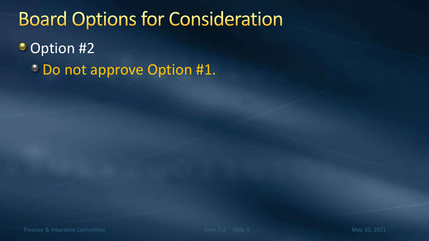### **Board Options for Consideration**

Option #2 ۰

Do not approve Option #1.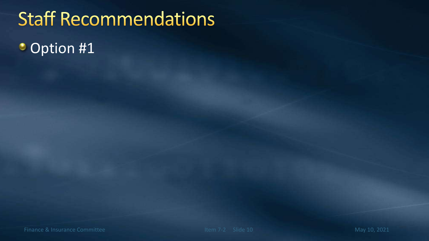# **Staff Recommendations Option #1**